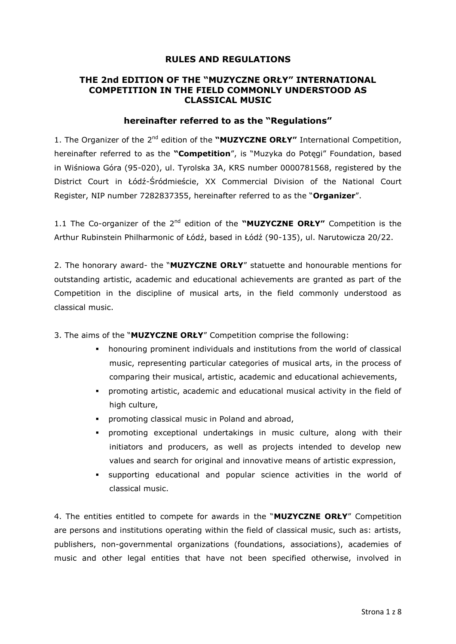# **RULES AND REGULATIONS**

# **THE 2nd EDITION OF THE "MUZYCZNE ORŁY" INTERNATIONAL COMPETITION IN THE FIELD COMMONLY UNDERSTOOD AS CLASSICAL MUSIC**

### **hereinafter referred to as the "Regulations"**

1. The Organizer of the 2<sup>nd</sup> edition of the "MUZYCZNE ORŁY" International Competition, hereinafter referred to as the **"Competition**", is "Muzyka do Potęgi" Foundation, based in Wiśniowa Góra (95-020), ul. Tyrolska 3A, KRS number 0000781568, registered by the District Court in Łódź-Śródmieście, XX Commercial Division of the National Court Register, NIP number 7282837355, hereinafter referred to as the "**Organizer**".

1.1 The Co-organizer of the 2nd edition of the **"MUZYCZNE ORŁY"** Competition is the Arthur Rubinstein Philharmonic of Łódź, based in Łódź (90-135), ul. Narutowicza 20/22.

2. The honorary award- the "**MUZYCZNE ORŁY**" statuette and honourable mentions for outstanding artistic, academic and educational achievements are granted as part of the Competition in the discipline of musical arts, in the field commonly understood as classical music.

- 3. The aims of the "**MUZYCZNE ORŁY**" Competition comprise the following:
	- honouring prominent individuals and institutions from the world of classical music, representing particular categories of musical arts, in the process of comparing their musical, artistic, academic and educational achievements,
	- promoting artistic, academic and educational musical activity in the field of high culture,
	- **•** promoting classical music in Poland and abroad,
	- promoting exceptional undertakings in music culture, along with their initiators and producers, as well as projects intended to develop new values and search for original and innovative means of artistic expression,
	- supporting educational and popular science activities in the world of classical music.

4. The entities entitled to compete for awards in the "**MUZYCZNE ORŁY**" Competition are persons and institutions operating within the field of classical music, such as: artists, publishers, non-governmental organizations (foundations, associations), academies of music and other legal entities that have not been specified otherwise, involved in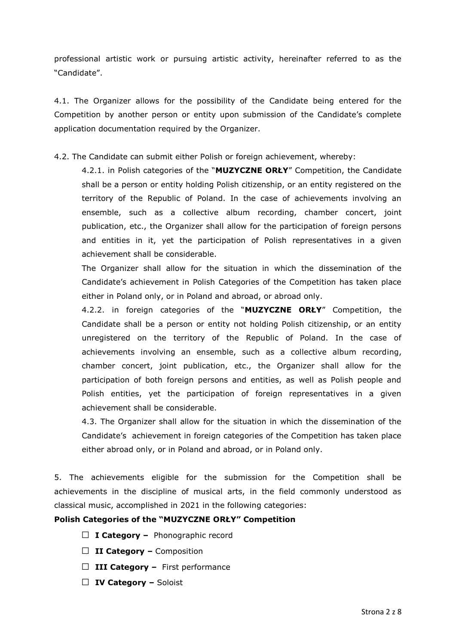professional artistic work or pursuing artistic activity, hereinafter referred to as the "Candidate".

4.1. The Organizer allows for the possibility of the Candidate being entered for the Competition by another person or entity upon submission of the Candidate's complete application documentation required by the Organizer.

4.2. The Candidate can submit either Polish or foreign achievement, whereby:

4.2.1. in Polish categories of the "**MUZYCZNE ORŁY**" Competition, the Candidate shall be a person or entity holding Polish citizenship, or an entity registered on the territory of the Republic of Poland. In the case of achievements involving an ensemble, such as a collective album recording, chamber concert, joint publication, etc., the Organizer shall allow for the participation of foreign persons and entities in it, yet the participation of Polish representatives in a given achievement shall be considerable.

The Organizer shall allow for the situation in which the dissemination of the Candidate's achievement in Polish Categories of the Competition has taken place either in Poland only, or in Poland and abroad, or abroad only.

4.2.2. in foreign categories of the "**MUZYCZNE ORŁY**" Competition, the Candidate shall be a person or entity not holding Polish citizenship, or an entity unregistered on the territory of the Republic of Poland. In the case of achievements involving an ensemble, such as a collective album recording, chamber concert, joint publication, etc., the Organizer shall allow for the participation of both foreign persons and entities, as well as Polish people and Polish entities, yet the participation of foreign representatives in a given achievement shall be considerable.

4.3. The Organizer shall allow for the situation in which the dissemination of the Candidate's achievement in foreign categories of the Competition has taken place either abroad only, or in Poland and abroad, or in Poland only.

5. The achievements eligible for the submission for the Competition shall be achievements in the discipline of musical arts, in the field commonly understood as classical music, accomplished in 2021 in the following categories:

# **Polish Categories of the "MUZYCZNE ORŁY" Competition**

- □ **I Category –** Phonographic record
- □ **II Category –** Composition
- □ **III Category –** First performance
- □ **IV Category –** Soloist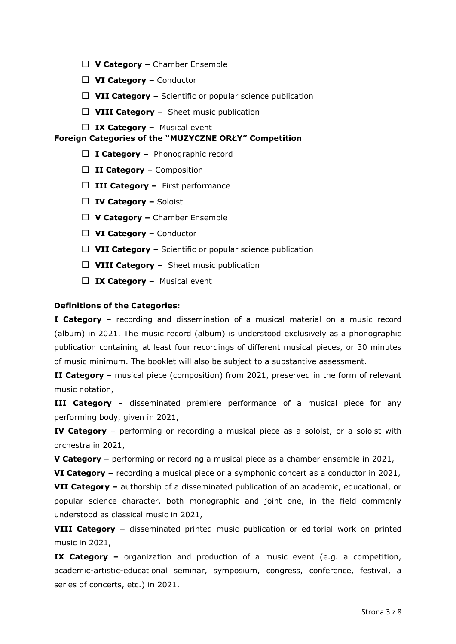- □ **V Category –** Chamber Ensemble
- □ **VI Category –** Conductor
- □ **VII Category –** Scientific or popular science publication
- □ **VIII Category –** Sheet music publication
- □ **IX Category –** Musical event

### **Foreign Categories of the "MUZYCZNE ORŁY" Competition**

- □ **I Category –** Phonographic record
- □ **II Category –** Composition
- □ **III Category –** First performance
- □ **IV Category –** Soloist
- □ **V Category –** Chamber Ensemble
- □ **VI Category –** Conductor
- □ **VII Category –** Scientific or popular science publication
- □ VIII Category Sheet music publication
- □ **IX Category –** Musical event

### **Definitions of the Categories:**

**I Category** – recording and dissemination of a musical material on a music record (album) in 2021. The music record (album) is understood exclusively as a phonographic publication containing at least four recordings of different musical pieces, or 30 minutes of music minimum. The booklet will also be subject to a substantive assessment.

**II Category** – musical piece (composition) from 2021, preserved in the form of relevant music notation,

**III Category** – disseminated premiere performance of a musical piece for any performing body, given in 2021,

**IV Category** – performing or recording a musical piece as a soloist, or a soloist with orchestra in 2021,

**V Category –** performing or recording a musical piece as a chamber ensemble in 2021,

**VI Category –** recording a musical piece or a symphonic concert as a conductor in 2021, **VII Category –** authorship of a disseminated publication of an academic, educational, or popular science character, both monographic and joint one, in the field commonly understood as classical music in 2021,

**VIII Category –** disseminated printed music publication or editorial work on printed music in 2021,

**IX Category –** organization and production of a music event (e.g. a competition, academic-artistic-educational seminar, symposium, congress, conference, festival, a series of concerts, etc.) in 2021.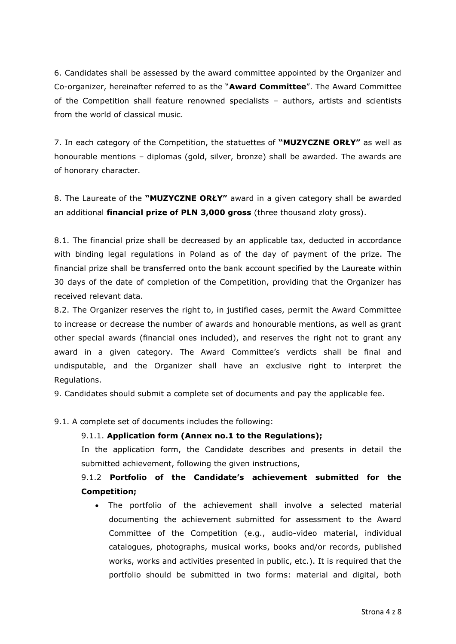6. Candidates shall be assessed by the award committee appointed by the Organizer and Co-organizer, hereinafter referred to as the "**Award Committee**". The Award Committee of the Competition shall feature renowned specialists – authors, artists and scientists from the world of classical music.

7. In each category of the Competition, the statuettes of **"MUZYCZNE ORŁY"** as well as honourable mentions – diplomas (gold, silver, bronze) shall be awarded. The awards are of honorary character.

8. The Laureate of the **"MUZYCZNE ORŁY"** award in a given category shall be awarded an additional **financial prize of PLN 3,000 gross** (three thousand zloty gross).

8.1. The financial prize shall be decreased by an applicable tax, deducted in accordance with binding legal regulations in Poland as of the day of payment of the prize. The financial prize shall be transferred onto the bank account specified by the Laureate within 30 days of the date of completion of the Competition, providing that the Organizer has received relevant data.

8.2. The Organizer reserves the right to, in justified cases, permit the Award Committee to increase or decrease the number of awards and honourable mentions, as well as grant other special awards (financial ones included), and reserves the right not to grant any award in a given category. The Award Committee's verdicts shall be final and undisputable, and the Organizer shall have an exclusive right to interpret the Regulations.

9. Candidates should submit a complete set of documents and pay the applicable fee.

9.1. A complete set of documents includes the following:

# 9.1.1. **Application form (Annex no.1 to the Regulations);**

In the application form, the Candidate describes and presents in detail the submitted achievement, following the given instructions,

# 9.1.2 **Portfolio of the Candidate's achievement submitted for the Competition;**

 The portfolio of the achievement shall involve a selected material documenting the achievement submitted for assessment to the Award Committee of the Competition (e.g., audio-video material, individual catalogues, photographs, musical works, books and/or records, published works, works and activities presented in public, etc.). It is required that the portfolio should be submitted in two forms: material and digital, both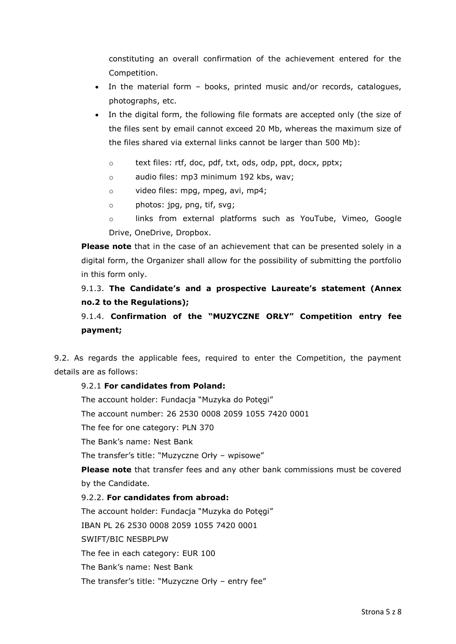constituting an overall confirmation of the achievement entered for the Competition.

- In the material form books, printed music and/or records, catalogues, photographs, etc.
- In the digital form, the following file formats are accepted only (the size of the files sent by email cannot exceed 20 Mb, whereas the maximum size of the files shared via external links cannot be larger than 500 Mb):
	- o text files: rtf, doc, pdf, txt, ods, odp, ppt, docx, pptx;
	- o audio files: mp3 minimum 192 kbs, wav;
	- o video files: mpg, mpeg, avi, mp4;
	- o photos: jpg, png, tif, svg;
	- o links from external platforms such as YouTube, Vimeo, Google Drive, OneDrive, Dropbox.

**Please note** that in the case of an achievement that can be presented solely in a digital form, the Organizer shall allow for the possibility of submitting the portfolio in this form only.

# 9.1.3. **The Candidate's and a prospective Laureate's statement (Annex no.2 to the Regulations);**

# 9.1.4. **Confirmation of the "MUZYCZNE ORŁY" Competition entry fee payment;**

9.2. As regards the applicable fees, required to enter the Competition, the payment details are as follows:

# 9.2.1 **For candidates from Poland:**

The account holder: Fundacja "Muzyka do Potęgi"

The account number: 26 2530 0008 2059 1055 7420 0001

The fee for one category: PLN 370

The Bank's name: Nest Bank

The transfer's title: "Muzyczne Orły – wpisowe"

**Please note** that transfer fees and any other bank commissions must be covered by the Candidate.

# 9.2.2. **For candidates from abroad:**

The account holder: Fundacja "Muzyka do Potęgi" IBAN PL 26 2530 0008 2059 1055 7420 0001 SWIFT/BIC NESBPLPW The fee in each category: EUR 100 The Bank's name: Nest Bank The transfer's title: "Muzyczne Orły – entry fee"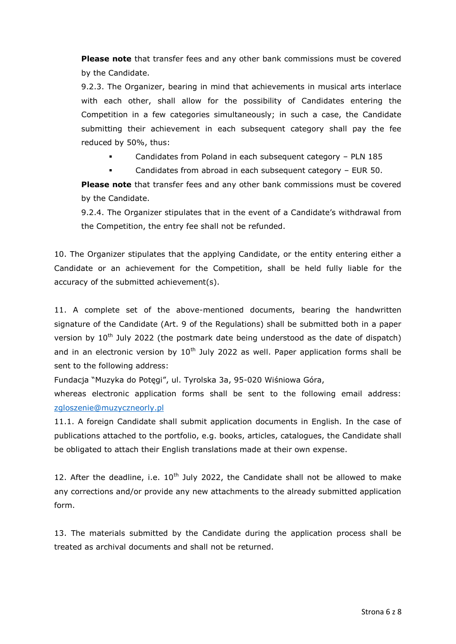**Please note** that transfer fees and any other bank commissions must be covered by the Candidate.

9.2.3. The Organizer, bearing in mind that achievements in musical arts interlace with each other, shall allow for the possibility of Candidates entering the Competition in a few categories simultaneously; in such a case, the Candidate submitting their achievement in each subsequent category shall pay the fee reduced by 50%, thus:

- Candidates from Poland in each subsequent category PLN 185
- Candidates from abroad in each subsequent category EUR 50.

**Please note** that transfer fees and any other bank commissions must be covered by the Candidate.

9.2.4. The Organizer stipulates that in the event of a Candidate's withdrawal from the Competition, the entry fee shall not be refunded.

10. The Organizer stipulates that the applying Candidate, or the entity entering either a Candidate or an achievement for the Competition, shall be held fully liable for the accuracy of the submitted achievement(s).

11. A complete set of the above-mentioned documents, bearing the handwritten signature of the Candidate (Art. 9 of the Regulations) shall be submitted both in a paper version by 10<sup>th</sup> July 2022 (the postmark date being understood as the date of dispatch) and in an electronic version by  $10<sup>th</sup>$  July 2022 as well. Paper application forms shall be sent to the following address:

Fundacja "Muzyka do Potęgi", ul. Tyrolska 3a, 95-020 Wiśniowa Góra,

whereas electronic application forms shall be sent to the following email address: [zgloszenie@muzyczneorly.pl](mailto:zgloszenie@muzyczneorly.pl)

11.1. A foreign Candidate shall submit application documents in English. In the case of publications attached to the portfolio, e.g. books, articles, catalogues, the Candidate shall be obligated to attach their English translations made at their own expense.

12. After the deadline, i.e.  $10^{th}$  July 2022, the Candidate shall not be allowed to make any corrections and/or provide any new attachments to the already submitted application form.

13. The materials submitted by the Candidate during the application process shall be treated as archival documents and shall not be returned.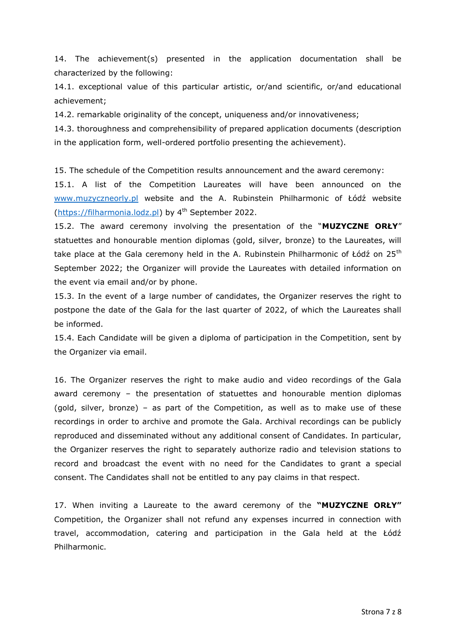14. The achievement(s) presented in the application documentation shall be characterized by the following:

14.1. exceptional value of this particular artistic, or/and scientific, or/and educational achievement;

14.2. remarkable originality of the concept, uniqueness and/or innovativeness;

14.3. thoroughness and comprehensibility of prepared application documents (description in the application form, well-ordered portfolio presenting the achievement).

15. The schedule of the Competition results announcement and the award ceremony:

15.1. A list of the Competition Laureates will have been announced on the [www.muzyczneorly.pl](http://www.muzyczneorly.pl/) website and the A. Rubinstein Philharmonic of Łódź website [\(https://filharmonia.lodz.pl\)](https://filharmonia.lodz.pl/) by  $4<sup>th</sup>$  September 2022.

15.2. The award ceremony involving the presentation of the "**MUZYCZNE ORŁY**" statuettes and honourable mention diplomas (gold, silver, bronze) to the Laureates, will take place at the Gala ceremony held in the A. Rubinstein Philharmonic of Łódź on 25<sup>th</sup> September 2022; the Organizer will provide the Laureates with detailed information on the event via email and/or by phone.

15.3. In the event of a large number of candidates, the Organizer reserves the right to postpone the date of the Gala for the last quarter of 2022, of which the Laureates shall be informed.

15.4. Each Candidate will be given a diploma of participation in the Competition, sent by the Organizer via email.

16. The Organizer reserves the right to make audio and video recordings of the Gala award ceremony – the presentation of statuettes and honourable mention diplomas (gold, silver, bronze) – as part of the Competition, as well as to make use of these recordings in order to archive and promote the Gala. Archival recordings can be publicly reproduced and disseminated without any additional consent of Candidates. In particular, the Organizer reserves the right to separately authorize radio and television stations to record and broadcast the event with no need for the Candidates to grant a special consent. The Candidates shall not be entitled to any pay claims in that respect.

17. When inviting a Laureate to the award ceremony of the **"MUZYCZNE ORŁY"** Competition, the Organizer shall not refund any expenses incurred in connection with travel, accommodation, catering and participation in the Gala held at the Łódź Philharmonic.